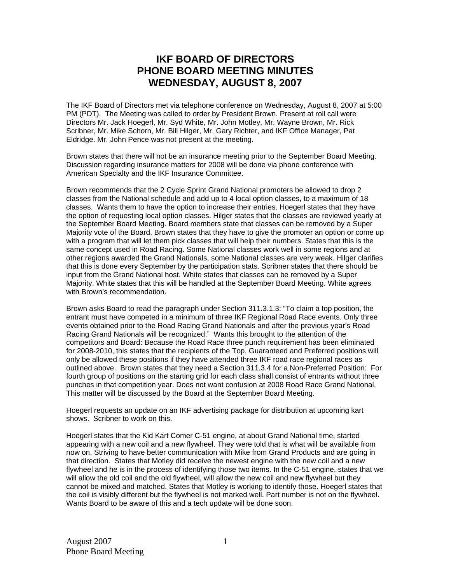## **IKF BOARD OF DIRECTORS PHONE BOARD MEETING MINUTES WEDNESDAY, AUGUST 8, 2007**

The IKF Board of Directors met via telephone conference on Wednesday, August 8, 2007 at 5:00 PM (PDT). The Meeting was called to order by President Brown. Present at roll call were Directors Mr. Jack Hoegerl, Mr. Syd White, Mr. John Motley, Mr. Wayne Brown, Mr. Rick Scribner, Mr. Mike Schorn, Mr. Bill Hilger, Mr. Gary Richter, and IKF Office Manager, Pat Eldridge. Mr. John Pence was not present at the meeting.

Brown states that there will not be an insurance meeting prior to the September Board Meeting. Discussion regarding insurance matters for 2008 will be done via phone conference with American Specialty and the IKF Insurance Committee.

Brown recommends that the 2 Cycle Sprint Grand National promoters be allowed to drop 2 classes from the National schedule and add up to 4 local option classes, to a maximum of 18 classes. Wants them to have the option to increase their entries. Hoegerl states that they have the option of requesting local option classes. Hilger states that the classes are reviewed yearly at the September Board Meeting. Board members state that classes can be removed by a Super Majority vote of the Board. Brown states that they have to give the promoter an option or come up with a program that will let them pick classes that will help their numbers. States that this is the same concept used in Road Racing. Some National classes work well in some regions and at other regions awarded the Grand Nationals, some National classes are very weak. Hilger clarifies that this is done every September by the participation stats. Scribner states that there should be input from the Grand National host. White states that classes can be removed by a Super Majority. White states that this will be handled at the September Board Meeting. White agrees with Brown's recommendation.

Brown asks Board to read the paragraph under Section 311.3.1.3: "To claim a top position, the entrant must have competed in a minimum of three IKF Regional Road Race events. Only three events obtained prior to the Road Racing Grand Nationals and after the previous year's Road Racing Grand Nationals will be recognized." Wants this brought to the attention of the competitors and Board: Because the Road Race three punch requirement has been eliminated for 2008-2010, this states that the recipients of the Top, Guaranteed and Preferred positions will only be allowed these positions if they have attended three IKF road race regional races as outlined above. Brown states that they need a Section 311.3.4 for a Non-Preferred Position: For fourth group of positions on the starting grid for each class shall consist of entrants without three punches in that competition year. Does not want confusion at 2008 Road Race Grand National. This matter will be discussed by the Board at the September Board Meeting.

Hoegerl requests an update on an IKF advertising package for distribution at upcoming kart shows. Scribner to work on this.

Hoegerl states that the Kid Kart Comer C-51 engine, at about Grand National time, started appearing with a new coil and a new flywheel. They were told that is what will be available from now on. Striving to have better communication with Mike from Grand Products and are going in that direction. States that Motley did receive the newest engine with the new coil and a new flywheel and he is in the process of identifying those two items. In the C-51 engine, states that we will allow the old coil and the old flywheel, will allow the new coil and new flywheel but they cannot be mixed and matched. States that Motley is working to identify those. Hoegerl states that the coil is visibly different but the flywheel is not marked well. Part number is not on the flywheel. Wants Board to be aware of this and a tech update will be done soon.